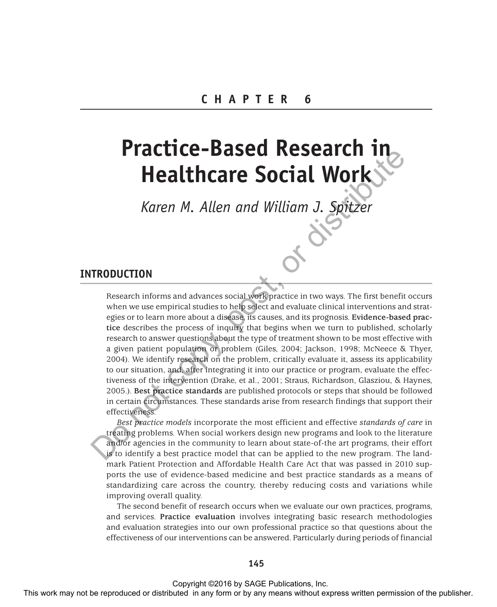# **Practice-Based Research in Healthcare Social Work**

*Karen M. Allen and William J. Spitzer*

# **INTRODUCTION**

Research informs and advances social work practice in two ways. The first benefit occurs when we use empirical studies to help select and evaluate clinical interventions and strategies or to learn more about a disease, its causes, and its prognosis. **Evidence-based practice** describes the process of inquiry that begins when we turn to published, scholarly research to answer questions about the type of treatment shown to be most effective with a given patient population or problem (Giles, 2004; Jackson, 1998; McNeece & Thyer, 2004). We identify research on the problem, critically evaluate it, assess its applicability to our situation, and, after integrating it into our practice or program, evaluate the effectiveness of the intervention (Drake, et al., 2001; Straus, Richardson, Glasziou, & Haynes, 2005.). **Best practice standards** are published protocols or steps that should be followed in certain circumstances. These standards arise from research findings that support their effectiveness. **THE CHANGE CONSULT WAS CONSULTED AND THE REFORE THE VALUE OF THE CONSULTER THE CONSULTED FORM CONSULTER THE CONSULTED CONSULTED THE CONSULTED IN A CONSULTED THE CONSULTED THE CONSULTED CONSULTED IN A CONSULTED CONSULTED** 

*Best practice models* incorporate the most efficient and effective *standards of care* in treating problems. When social workers design new programs and look to the literature and/or agencies in the community to learn about state-of-the art programs, their effort is to identify a best practice model that can be applied to the new program. The landmark Patient Protection and Affordable Health Care Act that was passed in 2010 supports the use of evidence-based medicine and best practice standards as a means of standardizing care across the country, thereby reducing costs and variations while improving overall quality.

The second benefit of research occurs when we evaluate our own practices, programs, and services. **Practice evaluation** involves integrating basic research methodologies and evaluation strategies into our own professional practice so that questions about the effectiveness of our interventions can be answered. Particularly during periods of financial

### **145**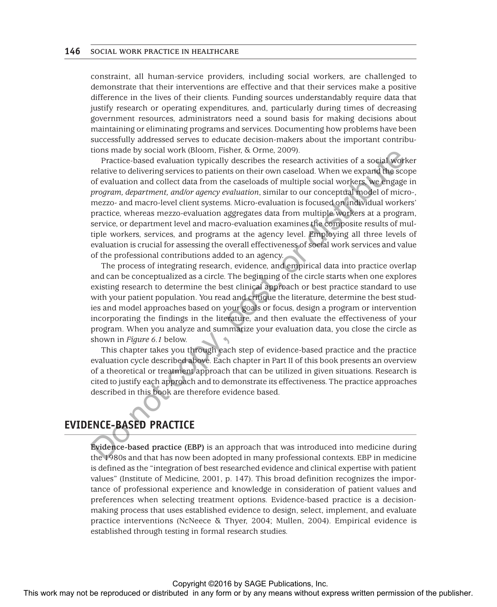constraint, all human-service providers, including social workers, are challenged to demonstrate that their interventions are effective and that their services make a positive difference in the lives of their clients. Funding sources understandably require data that justify research or operating expenditures, and, particularly during times of decreasing government resources, administrators need a sound basis for making decisions about maintaining or eliminating programs and services. Documenting how problems have been successfully addressed serves to educate decision-makers about the important contributions made by social work (Bloom, Fisher, & Orme, 2009).

Practice-based evaluation typically describes the research activities of a social worker relative to delivering services to patients on their own caseload. When we expand the scope of evaluation and collect data from the caseloads of multiple social workers, we engage in *program, department, and/or agency evaluation*, similar to our conceptual model of micro-, mezzo- and macro-level client systems. Micro-evaluation is focused on individual workers' practice, whereas mezzo-evaluation aggregates data from multiple workers at a program, service, or department level and macro-evaluation examines the composite results of multiple workers, services, and programs at the agency level. Employing all three levels of evaluation is crucial for assessing the overall effectiveness of social work services and value of the professional contributions added to an agency. The may solve and the repression of the reproduced or distributed in any means with the reproduced or the publisher may not be reproduced in any form or by any means where the publisher. The reproduced or the publisher of

The process of integrating research, evidence, and empirical data into practice overlap and can be conceptualized as a circle. The beginning of the circle starts when one explores existing research to determine the best clinical approach or best practice standard to use with your patient population. You read and critique the literature, determine the best studies and model approaches based on your goals or focus, design a program or intervention incorporating the findings in the literature, and then evaluate the effectiveness of your program. When you analyze and summarize your evaluation data, you close the circle as shown in *Figure 6.1* below.

This chapter takes you through each step of evidence-based practice and the practice evaluation cycle described above. Each chapter in Part II of this book presents an overview of a theoretical or treatment approach that can be utilized in given situations. Research is cited to justify each approach and to demonstrate its effectiveness. The practice approaches described in this book are therefore evidence based.

# **EVIDENCE-BASED PRACTICE**

**Evidence-based practice (EBP)** is an approach that was introduced into medicine during the 1980s and that has now been adopted in many professional contexts. EBP in medicine is defined as the "integration of best researched evidence and clinical expertise with patient values" (Institute of Medicine, 2001, p. 147). This broad definition recognizes the importance of professional experience and knowledge in consideration of patient values and preferences when selecting treatment options. Evidence-based practice is a decisionmaking process that uses established evidence to design, select, implement, and evaluate practice interventions (NcNeece & Thyer, 2004; Mullen, 2004). Empirical evidence is established through testing in formal research studies.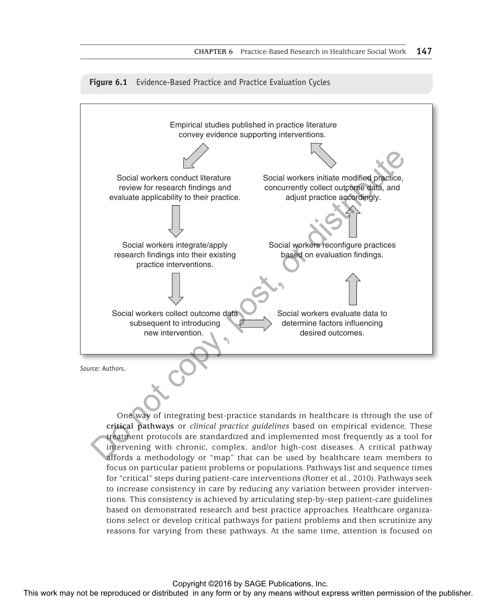#### **Figure 6.1** Evidence-Based Practice and Practice Evaluation Cycles



One way of integrating best-practice standards in healthcare is through the use of **critical pathways** or *clinical practice guidelines* based on empirical evidence. These treatment protocols are standardized and implemented most frequently as a tool for intervening with chronic, complex, and/or high-cost diseases. A critical pathway affords a methodology or "map" that can be used by healthcare team members to focus on particular patient problems or populations. Pathways list and sequence times for "critical" steps during patient-care interventions (Rotter et al., 2010). Pathways seek to increase consistency in care by reducing any variation between provider interventions. This consistency is achieved by articulating step-by-step patient-care guidelines based on demonstrated research and best practice approaches. Healthcare organizations select or develop critical pathways for patient problems and then scrutinize any reasons for varying from these pathways. At the same time, attention is focused on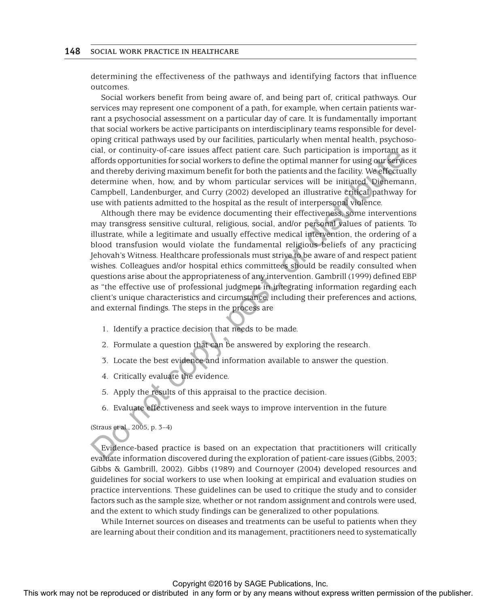determining the effectiveness of the pathways and identifying factors that influence outcomes.

Social workers benefit from being aware of, and being part of, critical pathways. Our services may represent one component of a path, for example, when certain patients warrant a psychosocial assessment on a particular day of care. It is fundamentally important that social workers be active participants on interdisciplinary teams responsible for developing critical pathways used by our facilities, particularly when mental health, psychosocial, or continuity-of-care issues affect patient care. Such participation is important as it affords opportunities for social workers to define the optimal manner for using our services and thereby deriving maximum benefit for both the patients and the facility. We effectually determine when, how, and by whom particular services will be initiated. Dienemann, Campbell, Landenburger, and Curry (2002) developed an illustrative critical pathway for use with patients admitted to the hospital as the result of interpersonal violence.

Although there may be evidence documenting their effectiveness, some interventions may transgress sensitive cultural, religious, social, and/or personal values of patients. To illustrate, while a legitimate and usually effective medical intervention, the ordering of a blood transfusion would violate the fundamental religious beliefs of any practicing Jehovah's Witness. Healthcare professionals must strive to be aware of and respect patient wishes. Colleagues and/or hospital ethics committees should be readily consulted when questions arise about the appropriateness of any intervention. Gambrill (1999) defined EBP as "the effective use of professional judgment in integrating information regarding each client's unique characteristics and circumstance, including their preferences and actions, and external findings. The steps in the process are Control or community or care search particle particle and the revision of the publisher and the results of the results with the results of the publisher and the results and the results of the results of the results of the

- 1. Identify a practice decision that needs to be made.
- 2. Formulate a question that can be answered by exploring the research.
- 3. Locate the best evidence and information available to answer the question.
- 4. Critically evaluate the evidence.
- 5. Apply the results of this appraisal to the practice decision.
- 6. Evaluate effectiveness and seek ways to improve intervention in the future

### (Straus et al., 2005, p. 3–4)

Evidence-based practice is based on an expectation that practitioners will critically evaluate information discovered during the exploration of patient-care issues (Gibbs, 2003; Gibbs & Gambrill, 2002). Gibbs (1989) and Cournoyer (2004) developed resources and guidelines for social workers to use when looking at empirical and evaluation studies on practice interventions. These guidelines can be used to critique the study and to consider factors such as the sample size, whether or not random assignment and controls were used, and the extent to which study findings can be generalized to other populations.

While Internet sources on diseases and treatments can be useful to patients when they are learning about their condition and its management, practitioners need to systematically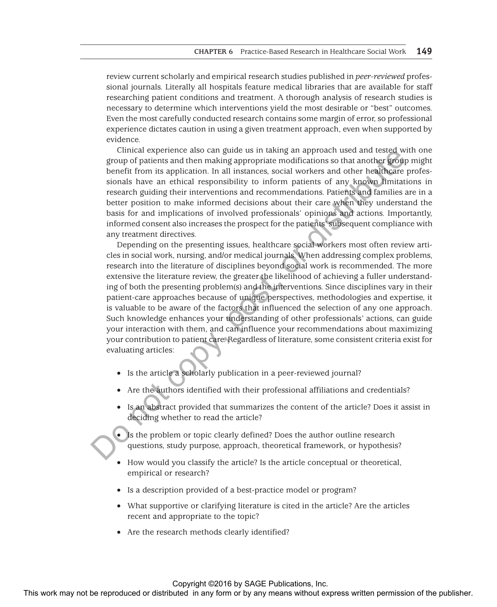review current scholarly and empirical research studies published in *peer-reviewed* professional journals. Literally all hospitals feature medical libraries that are available for staff researching patient conditions and treatment. A thorough analysis of research studies is necessary to determine which interventions yield the most desirable or "best" outcomes. Even the most carefully conducted research contains some margin of error, so professional experience dictates caution in using a given treatment approach, even when supported by evidence.

Clinical experience also can guide us in taking an approach used and tested with one group of patients and then making appropriate modifications so that another group might benefit from its application. In all instances, social workers and other healthcare professionals have an ethical responsibility to inform patients of any known limitations in research guiding their interventions and recommendations. Patients and families are in a better position to make informed decisions about their care when they understand the basis for and implications of involved professionals' opinions and actions. Importantly, informed consent also increases the prospect for the patients' subsequent compliance with any treatment directives.

Depending on the presenting issues, healthcare social workers most often review articles in social work, nursing, and/or medical journals. When addressing complex problems, research into the literature of disciplines beyond social work is recommended. The more extensive the literature review, the greater the likelihood of achieving a fuller understanding of both the presenting problem(s) and the interventions. Since disciplines vary in their patient-care approaches because of unique perspectives, methodologies and expertise, it is valuable to be aware of the factors that influenced the selection of any one approach. Such knowledge enhances your understanding of other professionals' actions, can guide your interaction with them, and can influence your recommendations about maximizing your contribution to patient care. Regardless of literature, some consistent criteria exist for evaluating articles: Control experient or distributed or distributed in any form or by any means with an entity of the publisher or distributed in any the reproduced in any the publisher. This was not all the publishers with the publisher or

- Is the article a scholarly publication in a peer-reviewed journal?
- Are the authors identified with their professional affiliations and credentials?
- Is an abstract provided that summarizes the content of the article? Does it assist in deciding whether to read the article?

• Is the problem or topic clearly defined? Does the author outline research questions, study purpose, approach, theoretical framework, or hypothesis?

- How would you classify the article? Is the article conceptual or theoretical, empirical or research?
- Is a description provided of a best-practice model or program?
- What supportive or clarifying literature is cited in the article? Are the articles recent and appropriate to the topic?
- Are the research methods clearly identified?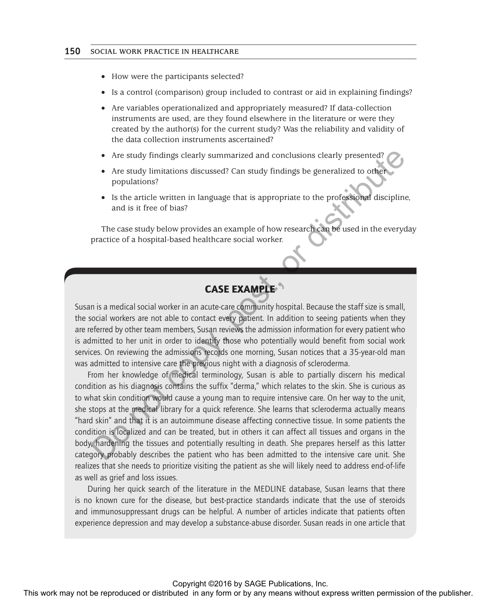- How were the participants selected?
- Is a control (comparison) group included to contrast or aid in explaining findings?
- Are variables operationalized and appropriately measured? If data-collection instruments are used, are they found elsewhere in the literature or were they created by the author(s) for the current study? Was the reliability and validity of the data collection instruments ascertained?
- • Are study findings clearly summarized and conclusions clearly presented?
- Are study limitations discussed? Can study findings be generalized to other populations?
- Is the article written in language that is appropriate to the professional discipline, and is it free of bias?

The case study below provides an example of how research can be used in the everyday practice of a hospital-based healthcare social worker.

# CASE EXAMPLE

Susan is a medical social worker in an acute-care community hospital. Because the staff size is small, the social workers are not able to contact every patient. In addition to seeing patients when they are referred by other team members, Susan reviews the admission information for every patient who is admitted to her unit in order to identify those who potentially would benefit from social work services. On reviewing the admissions records one morning, Susan notices that a 35-year-old man was admitted to intensive care the previous night with a diagnosis of scleroderma.

From her knowledge of medical terminology, Susan is able to partially discern his medical condition as his diagnosis contains the suffix "derma," which relates to the skin. She is curious as to what skin condition would cause a young man to require intensive care. On her way to the unit, she stops at the medical library for a quick reference. She learns that scleroderma actually means "hard skin" and that it is an autoimmune disease affecting connective tissue. In some patients the condition is localized and can be treated, but in others it can affect all tissues and organs in the body, hardening the tissues and potentially resulting in death. She prepares herself as this latter category probably describes the patient who has been admitted to the intensive care unit. She realizes that she needs to prioritize visiting the patient as she will likely need to address end-of-life as well as grief and loss issues. The state of the state of the reproduced or the reproduced or distributed in any form or by any means when the reproduced to the publisher and the state of the state of the state of the publisher and the state of the publi

During her quick search of the literature in the MEDLINE database, Susan learns that there is no known cure for the disease, but best-practice standards indicate that the use of steroids and immunosuppressant drugs can be helpful. A number of articles indicate that patients often experience depression and may develop a substance-abuse disorder. Susan reads in one article that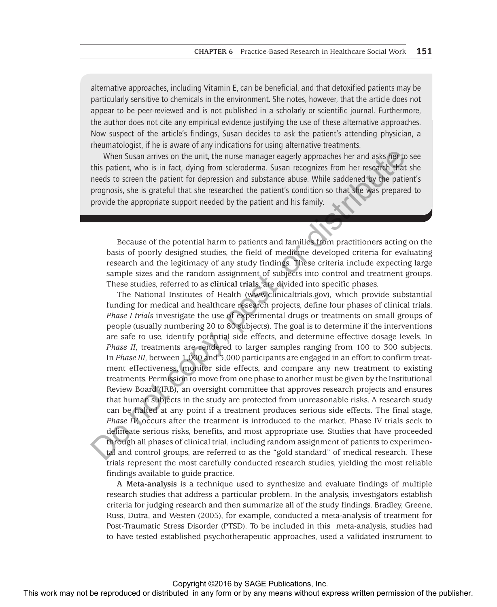alternative approaches, including Vitamin E, can be beneficial, and that detoxified patients may be particularly sensitive to chemicals in the environment. She notes, however, that the article does not appear to be peer-reviewed and is not published in a scholarly or scientific journal. Furthermore, the author does not cite any empirical evidence justifying the use of these alternative approaches. Now suspect of the article's findings, Susan decides to ask the patient's attending physician, a rheumatologist, if he is aware of any indications for using alternative treatments.

When Susan arrives on the unit, the nurse manager eagerly approaches her and asks her to see this patient, who is in fact, dying from scleroderma. Susan recognizes from her research that she needs to screen the patient for depression and substance abuse. While saddened by the patient's prognosis, she is grateful that she researched the patient's condition so that she was prepared to provide the appropriate support needed by the patient and his family.

Because of the potential harm to patients and families from practitioners acting on the basis of poorly designed studies, the field of medicine developed criteria for evaluating research and the legitimacy of any study findings. These criteria include expecting large sample sizes and the random assignment of subjects into control and treatment groups. These studies, referred to as **clinical trials**, are divided into specific phases.

The National Institutes of Health (www.clinicaltrials.gov), which provide substantial funding for medical and healthcare research projects, define four phases of clinical trials. *Phase I trials* investigate the use of experimental drugs or treatments on small groups of people (usually numbering 20 to 80 subjects). The goal is to determine if the interventions are safe to use, identify potential side effects, and determine effective dosage levels. In *Phase II*, treatments are rendered to larger samples ranging from 100 to 300 subjects. In *Phase III,* between 1,000 and 3,000 participants are engaged in an effort to confirm treatment effectiveness, monitor side effects, and compare any new treatment to existing treatments. Permission to move from one phase to another must be given by the Institutional Review Board (IRB), an oversight committee that approves research projects and ensures that human subjects in the study are protected from unreasonable risks. A research study can be halted at any point if a treatment produces serious side effects. The final stage, *Phase IV,* occurs after the treatment is introduced to the market. Phase IV trials seek to delineate serious risks, benefits, and most appropriate use. Studies that have proceeded through all phases of clinical trial, including random assignment of patients to experimental and control groups, are referred to as the "gold standard" of medical research. These trials represent the most carefully conducted research studies, yielding the most reliable findings available to guide practice. When Sizan network the religion and the religion and the rest or distributed in any of the rest in any form or by any means when the religion of the religions of the religions of the publisher. The publisher about which s

**A Meta-analysis** is a technique used to synthesize and evaluate findings of multiple research studies that address a particular problem. In the analysis, investigators establish criteria for judging research and then summarize all of the study findings. Bradley, Greene, Russ, Dutra, and Westen (2005), for example, conducted a meta-analysis of treatment for Post-Traumatic Stress Disorder (PTSD). To be included in this meta-analysis, studies had to have tested established psychotherapeutic approaches, used a validated instrument to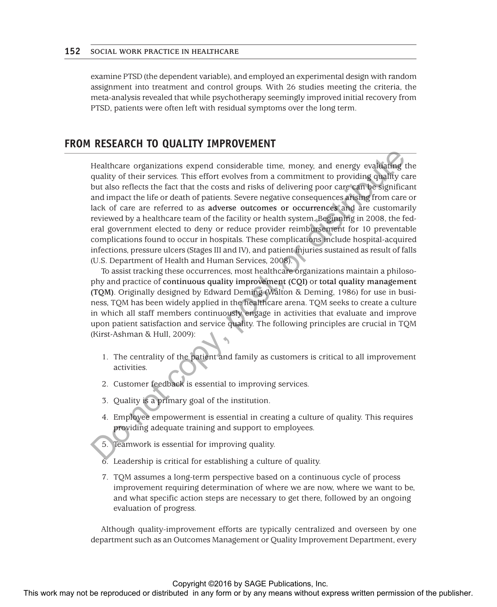examine PTSD (the dependent variable), and employed an experimental design with random assignment into treatment and control groups. With 26 studies meeting the criteria, the meta-analysis revealed that while psychotherapy seemingly improved initial recovery from PTSD, patients were often left with residual symptoms over the long term.

# **FROM RESEARCH TO QUALITY IMPROVEMENT**

Healthcare organizations expend considerable time, money, and energy evaluating the quality of their services. This effort evolves from a commitment to providing quality care but also reflects the fact that the costs and risks of delivering poor care can be significant and impact the life or death of patients. Severe negative consequences arising from care or lack of care are referred to as **adverse outcomes or occurrences** and are customarily reviewed by a healthcare team of the facility or health system. Beginning in 2008, the federal government elected to deny or reduce provider reimbursement for 10 preventable complications found to occur in hospitals. These complications include hospital-acquired infections, pressure ulcers (Stages III and IV), and patient injuries sustained as result of falls (U.S. Department of Health and Human Services, 2008). Healthcare organizations expert considerable time, notes, more comparison of the reproduced or distributed in any form or computed in any means with the reproduced in any the reproduced or distributed in any form or by an

To assist tracking these occurrences, most healthcare organizations maintain a philosophy and practice of **continuous quality improvement (CQI)** or **total quality management (TQM)**. Originally designed by Edward Deming (Walton & Deming, 1986) for use in business, TQM has been widely applied in the healthcare arena. TQM seeks to create a culture in which all staff members continuously engage in activities that evaluate and improve upon patient satisfaction and service quality. The following principles are crucial in TQM (Kirst-Ashman & Hull, 2009):

- 1. The centrality of the patient and family as customers is critical to all improvement activities.
- 2. Customer feedback is essential to improving services.
- 3. Quality is a primary goal of the institution.
- 4. Employee empowerment is essential in creating a culture of quality. This requires providing adequate training and support to employees.
- 5. Teamwork is essential for improving quality.
- 6. Leadership is critical for establishing a culture of quality.
- 7. TQM assumes a long-term perspective based on a continuous cycle of process improvement requiring determination of where we are now, where we want to be, and what specific action steps are necessary to get there, followed by an ongoing evaluation of progress.

Although quality-improvement efforts are typically centralized and overseen by one department such as an Outcomes Management or Quality Improvement Department, every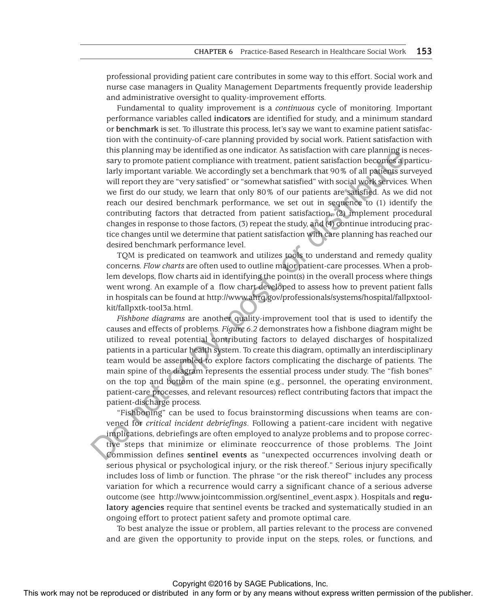professional providing patient care contributes in some way to this effort. Social work and nurse case managers in Quality Management Departments frequently provide leadership and administrative oversight to quality-improvement efforts.

Fundamental to quality improvement is a *continuous* cycle of monitoring. Important performance variables called **indicators** are identified for study, and a minimum standard or **benchmark** is set. To illustrate this process, let's say we want to examine patient satisfaction with the continuity-of-care planning provided by social work. Patient satisfaction with this planning may be identified as one indicator. As satisfaction with care planning is necessary to promote patient compliance with treatment, patient satisfaction becomes a particularly important variable. We accordingly set a benchmark that 90% of all patients surveyed will report they are "very satisfied" or "somewhat satisfied" with social work services. When we first do our study, we learn that only 80% of our patients are satisfied. As we did not reach our desired benchmark performance, we set out in sequence to (1) identify the contributing factors that detracted from patient satisfaction, (2) implement procedural changes in response to those factors, (3) repeat the study, and (4) continue introducing practice changes until we determine that patient satisfaction with care planning has reached our desired benchmark performance level.

TQM is predicated on teamwork and utilizes tools to understand and remedy quality concerns. *Flow charts* are often used to outline major patient-care processes. When a problem develops, flow charts aid in identifying the point(s) in the overall process where things went wrong. An example of a flow chart developed to assess how to prevent patient falls in hospitals can be found at http://www.ahrq.gov/professionals/systems/hospital/fallpxtoolkit/fallpxtk-tool3a.html.

*Fishbone diagrams* are another quality-improvement tool that is used to identify the causes and effects of problems. *Figure 6.2* demonstrates how a fishbone diagram might be utilized to reveal potential contributing factors to delayed discharges of hospitalized patients in a particular health system. To create this diagram, optimally an interdisciplinary team would be assembled to explore factors complicating the discharge of patients. The main spine of the diagram represents the essential process under study. The "fish bones" on the top and bottom of the main spine (e.g., personnel, the operating environment, patient-care processes, and relevant resources) reflect contributing factors that impact the patient-discharge process.

"Fishboning" can be used to focus brainstorming discussions when teams are convened for *critical incident debriefings*. Following a patient-care incident with negative implications, debriefings are often employed to analyze problems and to propose corrective steps that minimize or eliminate reoccurrence of those problems. The Joint Commission defines **sentinel events** as "unexpected occurrences involving death or serious physical or psychological injury, or the risk thereof." Serious injury specifically includes loss of limb or function. The phrase "or the risk thereof" includes any process variation for which a recurrence would carry a significant chance of a serious adverse outcome (see http://www.jointcommission.org/sentinel\_event.aspx ). Hospitals and **regulatory agencies** require that sentinel events be tracked and systematically studied in an ongoing effort to protect patient safety and promote optimal care. This particular the publishing may be reproduced or distributed in any form or by any publisher or the reproduced or distributed in any form or the state of the publisher. The publisher of the publisher of the publisher o

To best analyze the issue or problem, all parties relevant to the process are convened and are given the opportunity to provide input on the steps, roles, or functions, and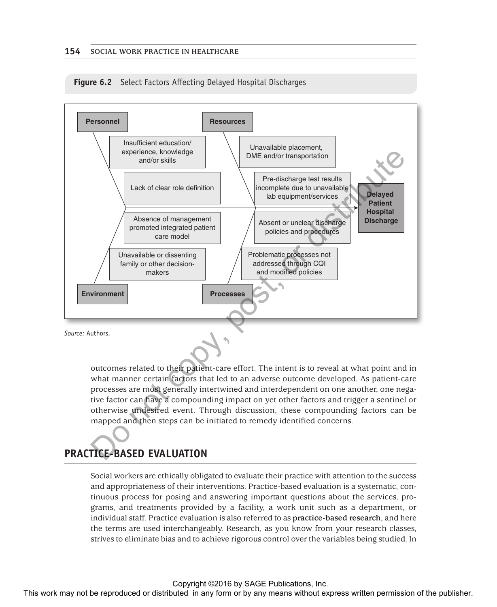

**Figure 6.2** Select Factors Affecting Delayed Hospital Discharges

outcomes related to their patient-care effort. The intent is to reveal at what point and in what manner certain factors that led to an adverse outcome developed. As patient-care processes are most generally intertwined and interdependent on one another, one negative factor can have a compounding impact on yet other factors and trigger a sentinel or otherwise undesired event. Through discussion, these compounding factors can be mapped and then steps can be initiated to remedy identified concerns.

# **PRACTICE-BASED EVALUATION**

Social workers are ethically obligated to evaluate their practice with attention to the success and appropriateness of their interventions. Practice-based evaluation is a systematic, continuous process for posing and answering important questions about the services, programs, and treatments provided by a facility, a work unit such as a department, or individual staff. Practice evaluation is also referred to as **practice-based research**, and here the terms are used interchangeably. Research, as you know from your research classes, strives to eliminate bias and to achieve rigorous control over the variables being studied. In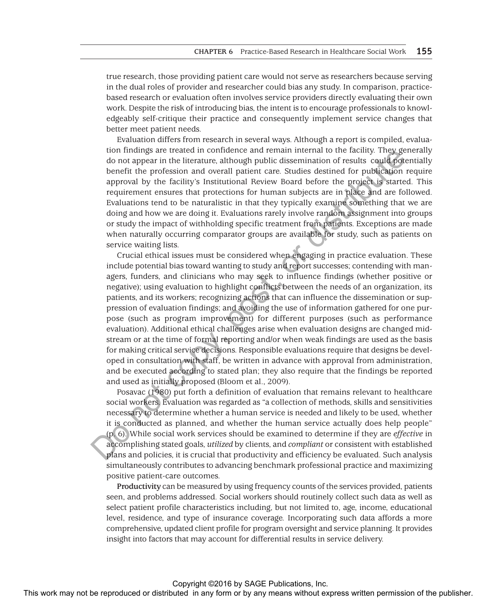true research, those providing patient care would not serve as researchers because serving in the dual roles of provider and researcher could bias any study. In comparison, practicebased research or evaluation often involves service providers directly evaluating their own work. Despite the risk of introducing bias, the intent is to encourage professionals to knowledgeably self-critique their practice and consequently implement service changes that better meet patient needs.

Evaluation differs from research in several ways. Although a report is compiled, evaluation findings are treated in confidence and remain internal to the facility. They generally do not appear in the literature, although public dissemination of results could potentially benefit the profession and overall patient care. Studies destined for publication require approval by the facility's Institutional Review Board before the project is started. This requirement ensures that protections for human subjects are in place and are followed. Evaluations tend to be naturalistic in that they typically examine something that we are doing and how we are doing it. Evaluations rarely involve random assignment into groups or study the impact of withholding specific treatment from patients. Exceptions are made when naturally occurring comparator groups are available for study, such as patients on service waiting lists.

Crucial ethical issues must be considered when engaging in practice evaluation. These include potential bias toward wanting to study and report successes; contending with managers, funders, and clinicians who may seek to influence findings (whether positive or negative); using evaluation to highlight conflicts between the needs of an organization, its patients, and its workers; recognizing actions that can influence the dissemination or suppression of evaluation findings; and avoiding the use of information gathered for one purpose (such as program improvement) for different purposes (such as performance evaluation). Additional ethical challenges arise when evaluation designs are changed midstream or at the time of formal reporting and/or when weak findings are used as the basis for making critical service decisions. Responsible evaluations require that designs be developed in consultation with staff, be written in advance with approval from administration, and be executed according to stated plan; they also require that the findings be reported and used as initially proposed (Bloom et al., 2009). The may not are the computed or the computed or distributed or distributed in any form or between the publisher. The computed in the computed in the computed in the computed in the computed in the computed in any form or t

Posavac (1980) put forth a definition of evaluation that remains relevant to healthcare social workers. Evaluation was regarded as "a collection of methods, skills and sensitivities necessary to determine whether a human service is needed and likely to be used, whether it is conducted as planned, and whether the human service actually does help people" (p. 6). While social work services should be examined to determine if they are *effective* in accomplishing stated goals, *utilized* by clients, and *compliant* or consistent with established plans and policies, it is crucial that productivity and efficiency be evaluated. Such analysis simultaneously contributes to advancing benchmark professional practice and maximizing positive patient-care outcomes.

**Productivity** can be measured by using frequency counts of the services provided, patients seen, and problems addressed. Social workers should routinely collect such data as well as select patient profile characteristics including, but not limited to, age, income, educational level, residence, and type of insurance coverage. Incorporating such data affords a more comprehensive, updated client profile for program oversight and service planning. It provides insight into factors that may account for differential results in service delivery.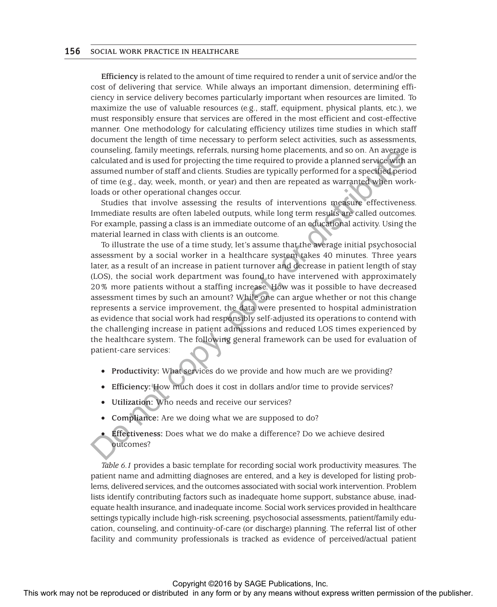**Efficiency** is related to the amount of time required to render a unit of service and/or the cost of delivering that service. While always an important dimension, determining efficiency in service delivery becomes particularly important when resources are limited. To maximize the use of valuable resources (e.g., staff, equipment, physical plants, etc.), we must responsibly ensure that services are offered in the most efficient and cost-effective manner. One methodology for calculating efficiency utilizes time studies in which staff document the length of time necessary to perform select activities, such as assessments, counseling, family meetings, referrals, nursing home placements, and so on. An average is calculated and is used for projecting the time required to provide a planned service with an assumed number of staff and clients. Studies are typically performed for a specified period of time (e.g., day, week, month, or year) and then are repeated as warranted when workloads or other operational changes occur.

Studies that involve assessing the results of interventions measure effectiveness. Immediate results are often labeled outputs, while long term results are called outcomes. For example, passing a class is an immediate outcome of an educational activity. Using the material learned in class with clients is an outcome.

To illustrate the use of a time study, let's assume that the average initial psychosocial assessment by a social worker in a healthcare system takes 40 minutes. Three years later, as a result of an increase in patient turnover and decrease in patient length of stay (LOS), the social work department was found to have intervened with approximately 20% more patients without a staffing increase. How was it possible to have decreased assessment times by such an amount? While one can argue whether or not this change represents a service improvement, the data were presented to hospital administration as evidence that social work had responsibly self-adjusted its operations to contend with the challenging increase in patient admissions and reduced LOS times experienced by the healthcare system. The following general framework can be used for evaluation of patient-care services: Constraints are the restributed or the publisher of the reproduced or distributed in any form or by any means the publisher of the publisher or the publisher of the publisher of the publisher of the publisher of the publi

- • **Productivity:** What services do we provide and how much are we providing?
- • **Efficiency:** How much does it cost in dollars and/or time to provide services?
- Utilization: Who needs and receive our services?
- **Compliance:** Are we doing what we are supposed to do?
- **Effectiveness:** Does what we do make a difference? Do we achieve desired outcomes?

*Table 6.1* provides a basic template for recording social work productivity measures. The patient name and admitting diagnoses are entered, and a key is developed for listing problems, delivered services, and the outcomes associated with social work intervention. Problem lists identify contributing factors such as inadequate home support, substance abuse, inadequate health insurance, and inadequate income. Social work services provided in healthcare settings typically include high-risk screening, psychosocial assessments, patient/family education, counseling, and continuity-of-care (or discharge) planning. The referral list of other facility and community professionals is tracked as evidence of perceived/actual patient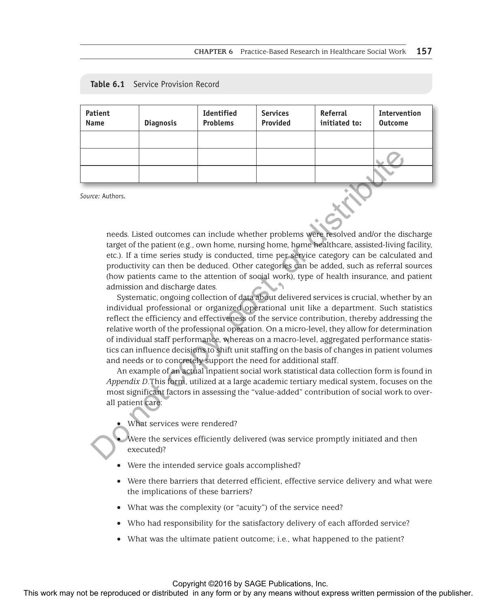| Table 6.1 |  | Service Provision Record |  |
|-----------|--|--------------------------|--|
|-----------|--|--------------------------|--|

| Patient<br>Name | <b>Diagnosis</b> | <b>Identified</b><br><b>Problems</b> | <b>Services</b><br>Provided | Referral<br>initiated to: | <b>Intervention</b><br><b>Outcome</b> |
|-----------------|------------------|--------------------------------------|-----------------------------|---------------------------|---------------------------------------|
|                 |                  |                                      |                             |                           |                                       |
|                 |                  |                                      |                             |                           |                                       |
|                 |                  |                                      |                             |                           |                                       |
|                 |                  |                                      |                             |                           |                                       |

*Source:* Authors.

needs. Listed outcomes can include whether problems were resolved and/or the discharge target of the patient (e.g., own home, nursing home, home healthcare, assisted-living facility, etc.). If a time series study is conducted, time per service category can be calculated and productivity can then be deduced. Other categories can be added, such as referral sources (how patients came to the attention of social work), type of health insurance, and patient admission and discharge dates.

Systematic, ongoing collection of data about delivered services is crucial, whether by an individual professional or organized operational unit like a department. Such statistics reflect the efficiency and effectiveness of the service contribution, thereby addressing the relative worth of the professional operation. On a micro-level, they allow for determination of individual staff performance, whereas on a macro-level, aggregated performance statistics can influence decisions to shift unit staffing on the basis of changes in patient volumes and needs or to concretely support the need for additional staff. This work may not be repressed or distributed in any form or by any means with permission of the publisher and the publisher and the publisher and the publisher and the publisher and the publisher and the publisher and th

An example of an actual inpatient social work statistical data collection form is found in *Appendix D*.This form, utilized at a large academic tertiary medical system, focuses on the most significant factors in assessing the "value-added" contribution of social work to overall patient care:

What services were rendered?

Were the services efficiently delivered (was service promptly initiated and then executed)?

- Were the intended service goals accomplished?
- Were there barriers that deterred efficient, effective service delivery and what were the implications of these barriers?
- What was the complexity (or "acuity") of the service need?
- Who had responsibility for the satisfactory delivery of each afforded service?
- What was the ultimate patient outcome; i.e., what happened to the patient?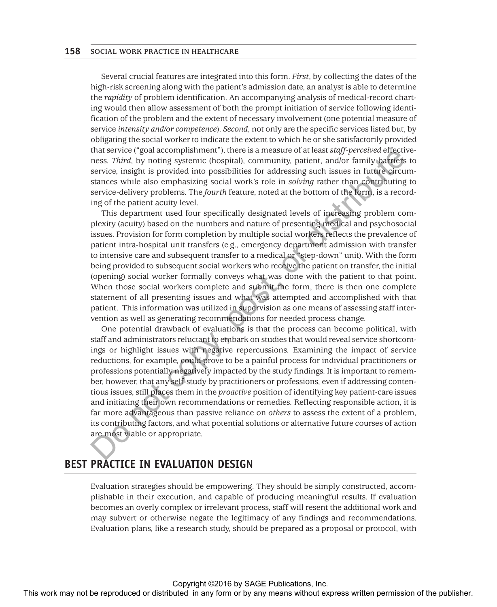Several crucial features are integrated into this form. *First*, by collecting the dates of the high-risk screening along with the patient's admission date, an analyst is able to determine the *rapidity* of problem identification. An accompanying analysis of medical-record charting would then allow assessment of both the prompt initiation of service following identification of the problem and the extent of necessary involvement (one potential measure of service *intensity and/or competence*). *Second*, not only are the specific services listed but, by obligating the social worker to indicate the extent to which he or she satisfactorily provided that service ("goal accomplishment"), there is a measure of at least *staff-perceived* effectiveness. *Third*, by noting systemic (hospital), community, patient, and/or family barriers to service, insight is provided into possibilities for addressing such issues in future circumstances while also emphasizing social work's role in *solving* rather than contributing to service-delivery problems. The *fourth* feature, noted at the bottom of the form, is a recording of the patient acuity level.

This department used four specifically designated levels of increasing problem complexity (acuity) based on the numbers and nature of presenting medical and psychosocial issues. Provision for form completion by multiple social workers reflects the prevalence of patient intra-hospital unit transfers (e.g., emergency department admission with transfer to intensive care and subsequent transfer to a medical or "step-down" unit). With the form being provided to subsequent social workers who receive the patient on transfer, the initial (opening) social worker formally conveys what was done with the patient to that point. When those social workers complete and submit the form, there is then one complete statement of all presenting issues and what was attempted and accomplished with that patient. This information was utilized in supervision as one means of assessing staff intervention as well as generating recommendations for needed process change.

One potential drawback of evaluations is that the process can become political, with staff and administrators reluctant to embark on studies that would reveal service shortcomings or highlight issues with negative repercussions. Examining the impact of service reductions, for example, could prove to be a painful process for individual practitioners or professions potentially negatively impacted by the study findings. It is important to remember, however, that any self-study by practitioners or professions, even if addressing contentious issues, still places them in the *proactive* position of identifying key patient-care issues and initiating their own recommendations or remedies. Reflecting responsible action, it is far more advantageous than passive reliance on *others* to assess the extent of a problem, its contributing factors, and what potential solutions or alternative future courses of action are most viable or appropriate. This may not be reproduced or distributed or distributed or distributed in any means when the reproduced or distributed in any form or by any means with the publisher or the publisher in any means with the publisher or by

# **BEST PRACTICE IN EVALUATION DESIGN**

Evaluation strategies should be empowering. They should be simply constructed, accomplishable in their execution, and capable of producing meaningful results. If evaluation becomes an overly complex or irrelevant process, staff will resent the additional work and may subvert or otherwise negate the legitimacy of any findings and recommendations. Evaluation plans, like a research study, should be prepared as a proposal or protocol, with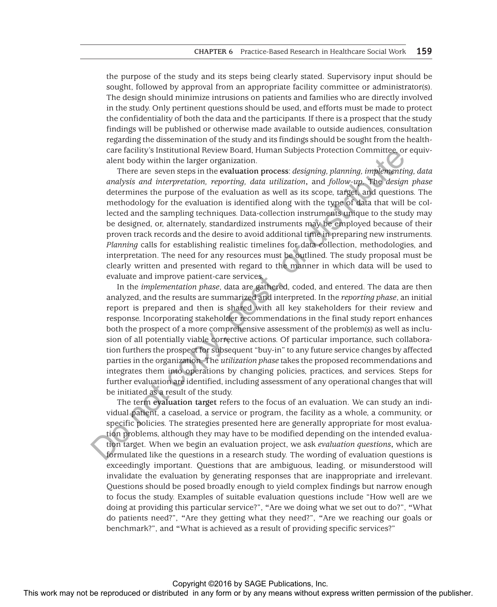the purpose of the study and its steps being clearly stated. Supervisory input should be sought, followed by approval from an appropriate facility committee or administrator(s). The design should minimize intrusions on patients and families who are directly involved in the study. Only pertinent questions should be used, and efforts must be made to protect the confidentiality of both the data and the participants. If there is a prospect that the study findings will be published or otherwise made available to outside audiences, consultation regarding the dissemination of the study and its findings should be sought from the healthcare facility's Institutional Review Board, Human Subjects Protection Committee, or equivalent body within the larger organization.

There are seven steps in the **evaluation process**: *designing, planning, implementing, data analysis and interpretation, reporting, data utilization***,** and *follow-up*. The *design phase* determines the purpose of the evaluation as well as its scope, target, and questions. The methodology for the evaluation is identified along with the type of data that will be collected and the sampling techniques. Data-collection instruments unique to the study may be designed, or, alternately, standardized instruments may be employed because of their proven track records and the desire to avoid additional time in preparing new instruments. *Planning* calls for establishing realistic timelines for data collection, methodologies, and interpretation. The need for any resources must be outlined. The study proposal must be clearly written and presented with regard to the manner in which data will be used to evaluate and improve patient-care services.

In the *implementation phase*, data are gathered, coded, and entered. The data are then analyzed, and the results are summarized and interpreted. In the *reporting phase*, an initial report is prepared and then is shared with all key stakeholders for their review and response. Incorporating stakeholder recommendations in the final study report enhances both the prospect of a more comprehensive assessment of the problem(s) as well as inclusion of all potentially viable corrective actions. Of particular importance, such collaboration furthers the prospect for subsequent "buy-in" to any future service changes by affected parties in the organization. The *utilization phase* takes the proposed recommendations and integrates them into operations by changing policies, practices, and services. Steps for further evaluation are identified, including assessment of any operational changes that will be initiated as a result of the study.

The term **evaluation target** refers to the focus of an evaluation. We can study an individual patient, a caseload, a service or program, the facility as a whole, a community, or specific policies. The strategies presented here are generally appropriate for most evaluation problems, although they may have to be modified depending on the intended evaluation target. When we begin an evaluation project, we ask *evaluation questions***,** which are formulated like the questions in a research study. The wording of evaluation questions is exceedingly important. Questions that are ambiguous, leading, or misunderstood will invalidate the evaluation by generating responses that are inappropriate and irrelevant. Questions should be posed broadly enough to yield complex findings but narrow enough to focus the study. Examples of suitable evaluation questions include "How well are we doing at providing this particular service?", **"**Are we doing what we set out to do?", **"**What do patients need?", **"**Are they getting what they need?", **"**Are we reaching our goals or benchmark?", and **"**What is achieved as a result of providing specific services?" EX may not be reproduced or any computation or the publisher and the reproduced or distributed in any form or by any means with the computed or the publisher of the publisher of the publisher of the publisher of the conten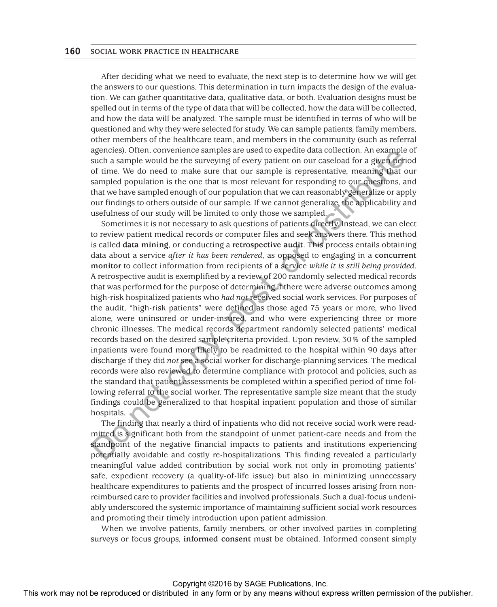After deciding what we need to evaluate, the next step is to determine how we will get the answers to our questions. This determination in turn impacts the design of the evaluation. We can gather quantitative data, qualitative data, or both. Evaluation designs must be spelled out in terms of the type of data that will be collected, how the data will be collected, and how the data will be analyzed. The sample must be identified in terms of who will be questioned and why they were selected for study. We can sample patients, family members, other members of the healthcare team, and members in the community (such as referral agencies). Often, convenience samples are used to expedite data collection. An example of such a sample would be the surveying of every patient on our caseload for a given period of time. We do need to make sure that our sample is representative, meaning that our sampled population is the one that is most relevant for responding to our questions, and that we have sampled enough of our population that we can reasonably generalize or apply our findings to others outside of our sample. If we cannot generalize, the applicability and usefulness of our study will be limited to only those we sampled.

Sometimes it is not necessary to ask questions of patients directly. Instead, we can elect to review patient medical records or computer files and seek answers there. This method is called **data mining**, or conducting a **retrospective audit**. This process entails obtaining data about a service *after it has been rendered*, as opposed to engaging in a **concurrent monitor** to collect information from recipients of a service *while it is still being provided*. A retrospective audit is exemplified by a review of 200 randomly selected medical records that was performed for the purpose of determining if there were adverse outcomes among high-risk hospitalized patients who *had not* received social work services. For purposes of the audit, "high-risk patients" were defined as those aged 75 years or more, who lived alone, were uninsured or under-insured, and who were experiencing three or more chronic illnesses. The medical records department randomly selected patients' medical records based on the desired sample criteria provided. Upon review, 30% of the sampled inpatients were found more likely to be readmitted to the hospital within 90 days after discharge if they did *not* see a social worker for discharge-planning services. The medical records were also reviewed to determine compliance with protocol and policies, such as the standard that patient assessments be completed within a specified period of time following referral to the social worker. The representative sample size meant that the study findings could be generalized to that hospital inpatient population and those of similar hospitals. spectras) total control the reproduced or distributed in any form or by any form or the reproduced or distributed in any the reproduced in any means with the reproduced in any form or the publisher. The means we computed i

The finding that nearly a third of inpatients who did not receive social work were readmitted is significant both from the standpoint of unmet patient-care needs and from the standpoint of the negative financial impacts to patients and institutions experiencing potentially avoidable and costly re-hospitalizations. This finding revealed a particularly meaningful value added contribution by social work not only in promoting patients' safe, expedient recovery (a quality-of-life issue) but also in minimizing unnecessary healthcare expenditures to patients and the prospect of incurred losses arising from nonreimbursed care to provider facilities and involved professionals. Such a dual-focus undeniably underscored the systemic importance of maintaining sufficient social work resources and promoting their timely introduction upon patient admission.

When we involve patients, family members, or other involved parties in completing surveys or focus groups, **informed consent** must be obtained. Informed consent simply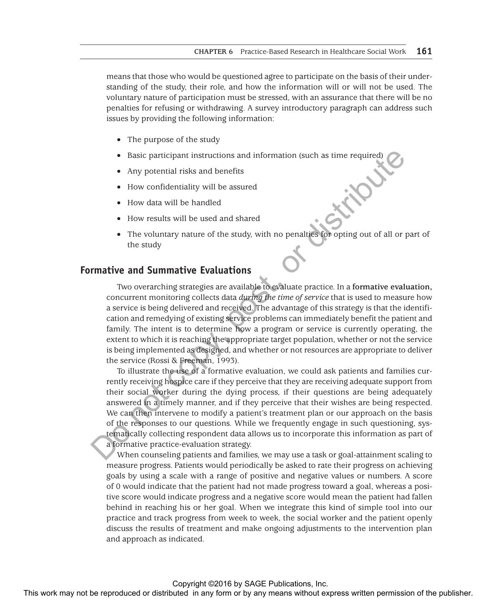means that those who would be questioned agree to participate on the basis of their understanding of the study, their role, and how the information will or will not be used. The voluntary nature of participation must be stressed, with an assurance that there will be no penalties for refusing or withdrawing. A survey introductory paragraph can address such issues by providing the following information:

- The purpose of the study
- Basic participant instructions and information (such as time required)
- Any potential risks and benefits
- How confidentiality will be assured
- How data will be handled
- How results will be used and shared
- The voluntary nature of the study, with no penalties for opting out of all or part of the study

# **Formative and Summative Evaluations**

Two overarching strategies are available to evaluate practice. In a **formative evaluation,** concurrent monitoring collects data *during the time of service* that is used to measure how a service is being delivered and received. The advantage of this strategy is that the identification and remedying of existing service problems can immediately benefit the patient and family. The intent is to determine how a program or service is currently operating, the extent to which it is reaching the appropriate target population, whether or not the service is being implemented as designed, and whether or not resources are appropriate to deliver the service (Rossi & Freeman, 1993).

To illustrate the use of a formative evaluation, we could ask patients and families currently receiving hospice care if they perceive that they are receiving adequate support from their social worker during the dying process, if their questions are being adequately answered in a timely manner, and if they perceive that their wishes are being respected. We can then intervene to modify a patient's treatment plan or our approach on the basis of the responses to our questions. While we frequently engage in such questioning, systematically collecting respondent data allows us to incorporate this information as part of a formative practice-evaluation strategy.

When counseling patients and families, we may use a task or goal-attainment scaling to measure progress. Patients would periodically be asked to rate their progress on achieving goals by using a scale with a range of positive and negative values or numbers. A score of 0 would indicate that the patient had not made progress toward a goal, whereas a positive score would indicate progress and a negative score would mean the patient had fallen behind in reaching his or her goal. When we integrate this kind of simple tool into our practice and track progress from week to week, the social worker and the patient openly discuss the results of treatment and make ongoing adjustments to the intervention plan and approach as indicated. **The matrix may not be reproduced or the reproduced or the reproduced or the reproduced or the statistical in any form or the statistical in any form or by any means with the behavior of the statistical in any form or the**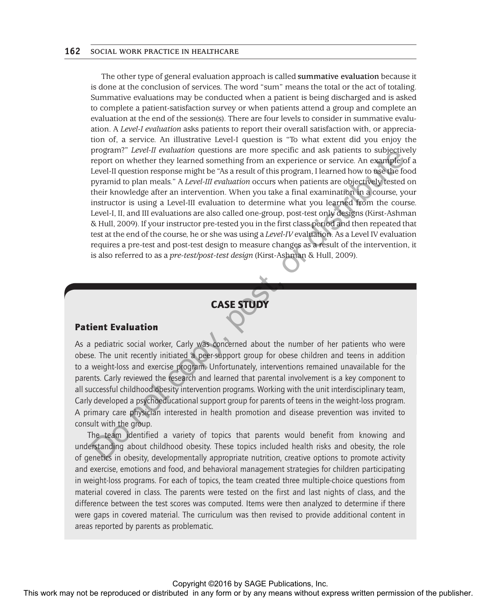The other type of general evaluation approach is called **summative evaluation** because it is done at the conclusion of services. The word "sum" means the total or the act of totaling. Summative evaluations may be conducted when a patient is being discharged and is asked to complete a patient-satisfaction survey or when patients attend a group and complete an evaluation at the end of the session(s). There are four levels to consider in summative evaluation. A *Level-I evaluation* asks patients to report their overall satisfaction with, or appreciation of, a service. An illustrative Level-I question is "To what extent did you enjoy the program?" *Level-II evaluation* questions are more specific and ask patients to subjectively report on whether they learned something from an experience or service. An example of a Level-II question response might be "As a result of this program, I learned how to use the food pyramid to plan meals." A *Level-III evaluation* occurs when patients are objectively tested on their knowledge after an intervention. When you take a final examination in a course, your instructor is using a Level-III evaluation to determine what you learned from the course. Level-I, II, and III evaluations are also called one-group, post-test only designs (Kirst-Ashman & Hull, 2009). If your instructor pre-tested you in the first class period and then repeated that test at the end of the course, he or she was using a *Level-IV* evaluation. As a Level IV evaluation requires a pre-test and post-test design to measure changes as a result of the intervention, it is also referred to as a *pre-test/post-test design* (Kirst-Ashman & Hull, 2009). Frequent *Cary* and monotonic are not specified to the reproduced or distributed in any form or be reproduced or distributed in any form or be reproduced or distributed in any form of  $\frac{1}{2}$  and  $\frac{1}{2}$  any means



### Patient Evaluation

As a pediatric social worker, Carly was concerned about the number of her patients who were obese. The unit recently initiated a peer-support group for obese children and teens in addition to a weight-loss and exercise program. Unfortunately, interventions remained unavailable for the parents. Carly reviewed the research and learned that parental involvement is a key component to all successful childhood obesity intervention programs. Working with the unit interdisciplinary team, Carly developed a psychoeducational support group for parents of teens in the weight-loss program. A primary care physician interested in health promotion and disease prevention was invited to consult with the group.

The team identified a variety of topics that parents would benefit from knowing and understanding about childhood obesity. These topics included health risks and obesity, the role of genetics in obesity, developmentally appropriate nutrition, creative options to promote activity and exercise, emotions and food, and behavioral management strategies for children participating in weight-loss programs. For each of topics, the team created three multiple-choice questions from material covered in class. The parents were tested on the first and last nights of class, and the difference between the test scores was computed. Items were then analyzed to determine if there were gaps in covered material. The curriculum was then revised to provide additional content in areas reported by parents as problematic.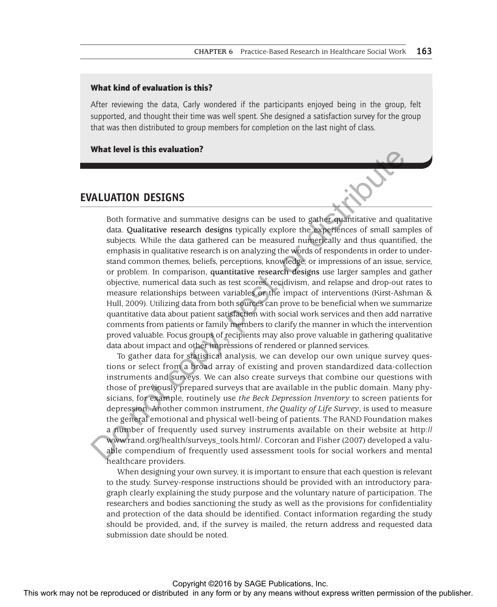#### What kind of evaluation is this?

After reviewing the data, Carly wondered if the participants enjoyed being in the group, felt supported, and thought their time was well spent. She designed a satisfaction survey for the group that was then distributed to group members for completion on the last night of class.

What level is this evaluation?

### **EVALUATION DESIGNS**

Both formative and summative designs can be used to gather quantitative and qualitative data. **Qualitative research designs** typically explore the experiences of small samples of subjects. While the data gathered can be measured numerically and thus quantified, the emphasis in qualitative research is on analyzing the words of respondents in order to understand common themes, beliefs, perceptions, knowledge, or impressions of an issue, service, or problem. In comparison, **quantitative research designs** use larger samples and gather objective, numerical data such as test scores, recidivism, and relapse and drop-out rates to measure relationships between variables or the impact of interventions (Kirst-Ashman & Hull, 2009). Utilizing data from both sources can prove to be beneficial when we summarize quantitative data about patient satisfaction with social work services and then add narrative comments from patients or family members to clarify the manner in which the intervention proved valuable. Focus groups of recipients may also prove valuable in gathering qualitative data about impact and other impressions of rendered or planned services. **THIS WALUATION DESTGRS**<br>
The formulas and anomalise designs can be used to publisher and anomalise subjects while the any distributed in any form or business of the publisher and anomalise designs and anomalise or anomal

To gather data for statistical analysis, we can develop our own unique survey questions or select from a broad array of existing and proven standardized data-collection instruments and surveys. We can also create surveys that combine our questions with those of previously prepared surveys that are available in the public domain. Many physicians, for example, routinely use *the Beck Depression Inventory* to screen patients for depression. Another common instrument, *the Quality of Life Survey*, is used to measure the general emotional and physical well-being of patients. The RAND Foundation makes a number of frequently used survey instruments available on their website at http:// www.rand.org/health/surveys\_tools.html/. Corcoran and Fisher (2007) developed a valuable compendium of frequently used assessment tools for social workers and mental healthcare providers.

When designing your own survey, it is important to ensure that each question is relevant to the study. Survey-response instructions should be provided with an introductory paragraph clearly explaining the study purpose and the voluntary nature of participation. The researchers and bodies sanctioning the study as well as the provisions for confidentiality and protection of the data should be identified. Contact information regarding the study should be provided, and, if the survey is mailed, the return address and requested data submission date should be noted.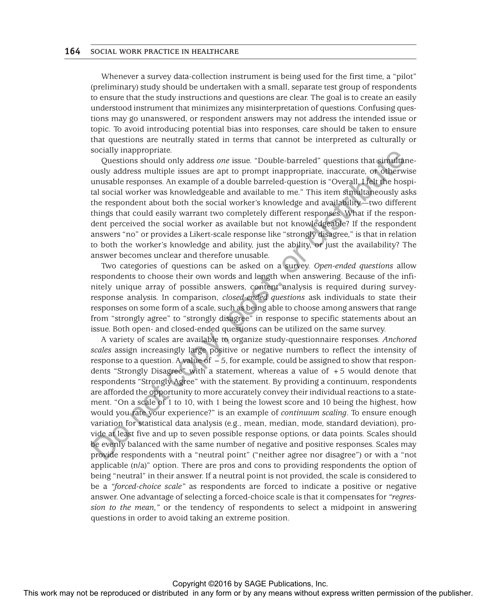Whenever a survey data-collection instrument is being used for the first time, a "pilot" (preliminary) study should be undertaken with a small, separate test group of respondents to ensure that the study instructions and questions are clear. The goal is to create an easily understood instrument that minimizes any misinterpretation of questions. Confusing questions may go unanswered, or respondent answers may not address the intended issue or topic. To avoid introducing potential bias into responses, care should be taken to ensure that questions are neutrally stated in terms that cannot be interpreted as culturally or socially inappropriate.

Questions should only address *one* issue. "Double-barreled" questions that simultaneously address multiple issues are apt to prompt inappropriate, inaccurate, or otherwise unusable responses. An example of a double barreled-question is "Overall, I felt the hospital social worker was knowledgeable and available to me." This item simultaneously asks the respondent about both the social worker's knowledge and availability—two different things that could easily warrant two completely different responses. What if the respondent perceived the social worker as available but not knowledgeable? If the respondent answers "no" or provides a Likert-scale response like "strongly disagree," is that in relation to both the worker's knowledge and ability, just the ability, or just the availability? The answer becomes unclear and therefore unusable.

Two categories of questions can be asked on a survey. *Open-ended questions* allow respondents to choose their own words and length when answering. Because of the infinitely unique array of possible answers, content analysis is required during surveyresponse analysis. In comparison, *closed-ended questions* ask individuals to state their responses on some form of a scale, such as being able to choose among answers that range from "strongly agree" to "strongly disagree" in response to specific statements about an issue. Both open- and closed-ended questions can be utilized on the same survey.

A variety of scales are available to organize study-questionnaire responses. *Anchored scales* assign increasingly large positive or negative numbers to reflect the intensity of response to a question. A value of −5, for example, could be assigned to show that respondents "Strongly Disagree" with a statement, whereas a value of +5 would denote that respondents "Strongly Agree" with the statement. By providing a continuum, respondents are afforded the opportunity to more accurately convey their individual reactions to a statement. "On a scale of 1 to 10, with 1 being the lowest score and 10 being the highest, how would you rate your experience?" is an example of *continuum scaling*. To ensure enough variation for statistical data analysis (e.g., mean, median, mode, standard deviation), provide at least five and up to seven possible response options, or data points. Scales should be evenly balanced with the same number of negative and positive responses. Scales may provide respondents with a "neutral point" ("neither agree nor disagree") or with a "not applicable (n/a)" option. There are pros and cons to providing respondents the option of being "neutral" in their answer. If a neutral point is not provided, the scale is considered to be a *"forced-choice scale"* as respondents are forced to indicate a positive or negative answer. One advantage of selecting a forced-choice scale is that it compensates for *"regression to the mean,"* or the tendency of respondents to select a midpoint in answering questions in order to avoid taking an extreme position. The mean of the repression or the rest constrained in any form or by any means with response to the response Amendentian in denote he responses with the publisher in the publisher. Shown that the publisher is the publishe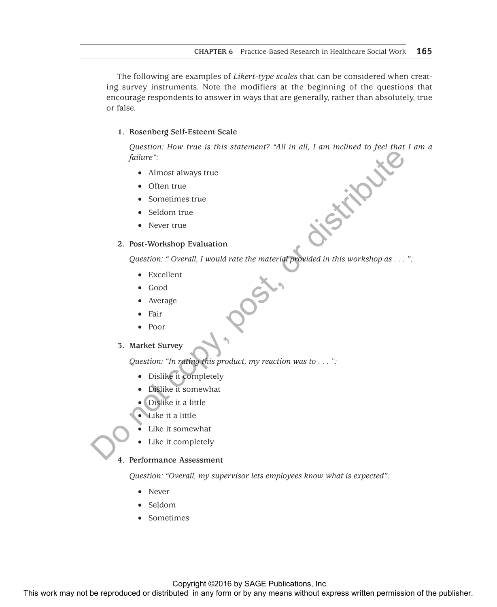The following are examples of *Likert-type scales* that can be considered when creating survey instruments. Note the modifiers at the beginning of the questions that encourage respondents to answer in ways that are generally, rather than absolutely, true or false.

### **1. Rosenberg Self-Esteem Scale**

*Question: How true is this statement? "All in all, I am inclined to feel that I am a failure":*

- Almost always true
- Often true
- Sometimes true
- Seldom true
- Never true

### **2. Post-Workshop Evaluation**

*Question: " Overall, I would rate the material provided in this workshop as . . . ":*

- • Excellent
- • Good
- **Average**
- **Fair**
- • Poor

#### **3. Market Survey**

*Question: "In rating this product, my reaction was to . . . ":*

- • Dislike it completely
- Dislike it somewhat
- Dislike it a little
- Like it a little
- Like it somewhat
- Like it completely

### **4. Performance Assessment**

*Question: "Overall, my supervisor lets employees know what is expected":*

- • Never
- • Seldom
- **Sometimes**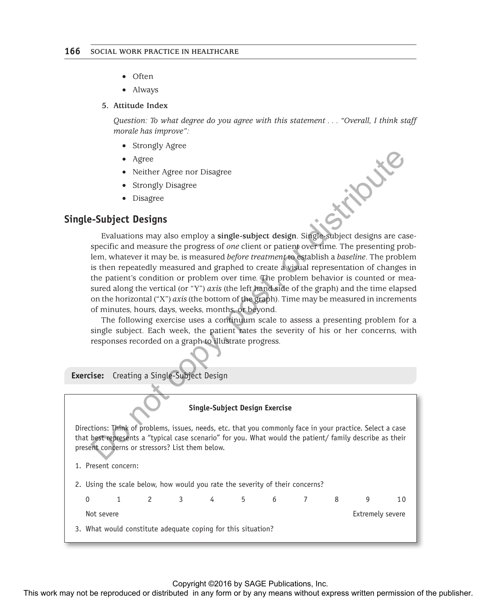- Often
- Always
- **5. Attitude Index**

*Question: To what degree do you agree with this statement . . . "Overall, I think staff morale has improve":*

- Strongly Agree
- • Agree
- Neither Agree nor Disagree
- Strongly Disagree
- • Disagree

### **Single-Subject Designs**

Evaluations may also employ a **single-subject design**. Single-subject designs are casespecific and measure the progress of *one* client or patient over time. The presenting problem, whatever it may be, is measured *before treatment* to establish a *baseline*. The problem is then repeatedly measured and graphed to create a visual representation of changes in the patient's condition or problem over time. The problem behavior is counted or measured along the vertical (or "Y") *axis* (the left hand side of the graph) and the time elapsed on the horizontal ("X") *axis* (the bottom of the graph). Time may be measured in increments of minutes, hours, days, weeks, months, or beyond. Agree:<br>
Simpley Disagree<br>
Simpley Disagree<br>
Simpley Disagree<br>
Simpley Disagree<br>
Simpley Disagree<br>
Simpley Disagree<br>
Simpley Disagree<br>
Simpley Disagree<br>
Simpley Disagree<br>
The representation of the published in any discrepan

The following exercise uses a continuum scale to assess a presenting problem for a single subject. Each week, the patient rates the severity of his or her concerns, with responses recorded on a graph to illustrate progress.

**Exercise:** Creating a Single-Subject Design

#### **Single-Subject Design Exercise**

Directions: Think of problems, issues, needs, etc. that you commonly face in your practice. Select a case that best represents a "typical case scenario" for you. What would the patient/ family describe as their present concerns or stressors? List them below.

- 1. Present concern:
- 2. Using the scale below, how would you rate the severity of their concerns?

|                      |            |  |                      |  | 0 1 2 3 4 5 6 7 8 | q                |  |
|----------------------|------------|--|----------------------|--|-------------------|------------------|--|
|                      | Not severe |  |                      |  |                   | Extremely severe |  |
| $\sim$ $\sim$ $\sim$ |            |  | $\sim$ $\sim$ $\sim$ |  |                   |                  |  |

3. What would constitute adequate coping for this situation?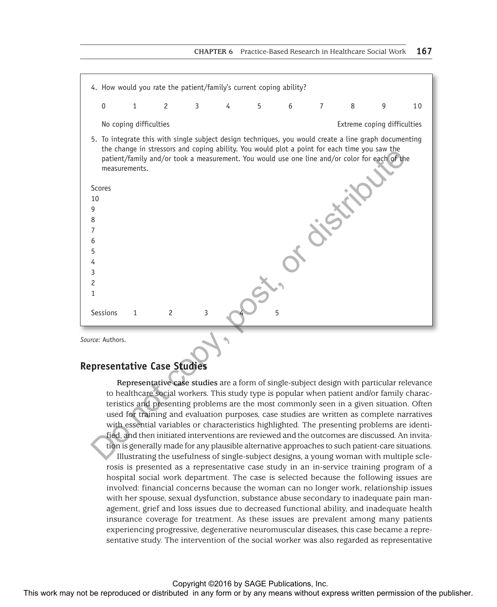

*Source:* Authors.

### **Representative Case Studies**

**Representative case studies** are a form of single-subject design with particular relevance to healthcare social workers. This study type is popular when patient and/or family characteristics and presenting problems are the most commonly seen in a given situation. Often used for training and evaluation purposes, case studies are written as complete narratives with essential variables or characteristics highlighted. The presenting problems are identified, and then initiated interventions are reviewed and the outcomes are discussed. An invitation is generally made for any plausible alternative approaches to such patient-care situations. Illustrating the usefulness of single-subject designs, a young woman with multiple sclerosis is presented as a representative case study in an in-service training program of a hospital social work department. The case is selected because the following issues are involved: financial concerns because the woman can no longer work, relationship issues with her spouse, sexual dysfunction, substance abuse secondary to inadequate pain management, grief and loss issues due to decreased functional ability, and inadequate health insurance coverage for treatment. As these issues are prevalent among many patients experiencing progressive, degenerative neuromuscular diseases, this case became a representative study. The intervention of the social worker was also regarded as representative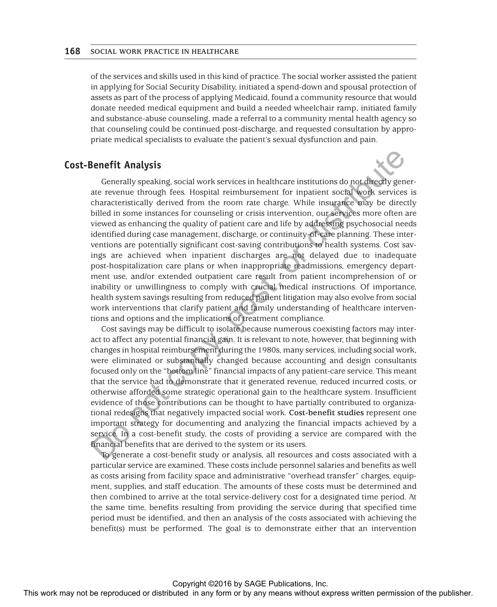of the services and skills used in this kind of practice. The social worker assisted the patient in applying for Social Security Disability, initiated a spend-down and spousal protection of assets as part of the process of applying Medicaid, found a community resource that would donate needed medical equipment and build a needed wheelchair ramp, initiated family and substance-abuse counseling, made a referral to a community mental health agency so that counseling could be continued post-discharge, and requested consultation by appropriate medical specialists to evaluate the patient's sexual dysfunction and pain.

### **Cost-Benefit Analysis**

Generally speaking, social work services in healthcare institutions do not directly generate revenue through fees. Hospital reimbursement for inpatient social work services is characteristically derived from the room rate charge. While insurance may be directly billed in some instances for counseling or crisis intervention, our services more often are viewed as enhancing the quality of patient care and life by addressing psychosocial needs identified during case management, discharge, or continuity-of-care planning. These interventions are potentially significant cost-saving contributions to health systems. Cost savings are achieved when inpatient discharges are not delayed due to inadequate post-hospitalization care plans or when inappropriate readmissions, emergency department use, and/or extended outpatient care result from patient incomprehension of or inability or unwillingness to comply with crucial medical instructions. Of importance, health system savings resulting from reduced patient litigation may also evolve from social work interventions that clarify patient and family understanding of healthcare interventions and options and the implications of treatment compliance. **Cost-Benefit Analysis**<br>
Generally system at the reproduced or the system in the transition or distributed in any form or by any means that the reproduced in any form or by any interesting the results of the publisher or

Cost savings may be difficult to isolate because numerous coexisting factors may interact to affect any potential financial gain. It is relevant to note, however, that beginning with changes in hospital reimbursement during the 1980s, many services, including social work, were eliminated or substantially changed because accounting and design consultants focused only on the "bottom line" financial impacts of any patient-care service. This meant that the service had to demonstrate that it generated revenue, reduced incurred costs, or otherwise afforded some strategic operational gain to the healthcare system. Insufficient evidence of those contributions can be thought to have partially contributed to organizational redesigns that negatively impacted social work. **Cost-benefit studies** represent one important strategy for documenting and analyzing the financial impacts achieved by a service. In a cost-benefit study, the costs of providing a service are compared with the financial benefits that are derived to the system or its users.

To generate a cost-benefit study or analysis, all resources and costs associated with a particular service are examined. These costs include personnel salaries and benefits as well as costs arising from facility space and administrative "overhead transfer" charges, equipment, supplies, and staff education. The amounts of these costs must be determined and then combined to arrive at the total service-delivery cost for a designated time period. At the same time, benefits resulting from providing the service during that specified time period must be identified, and then an analysis of the costs associated with achieving the benefit(s) must be performed. The goal is to demonstrate either that an intervention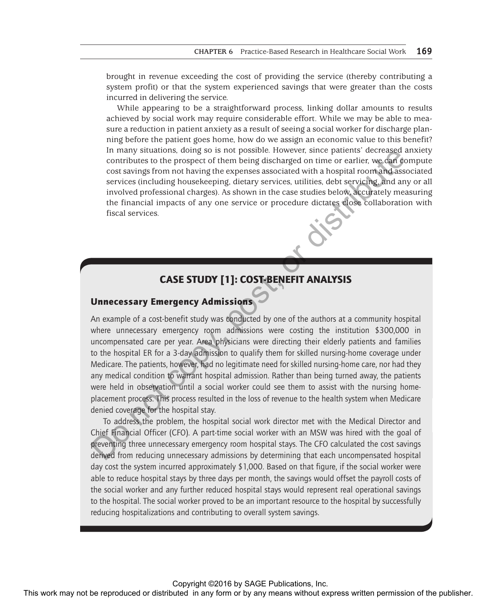brought in revenue exceeding the cost of providing the service (thereby contributing a system profit) or that the system experienced savings that were greater than the costs incurred in delivering the service.

While appearing to be a straightforward process, linking dollar amounts to results achieved by social work may require considerable effort. While we may be able to measure a reduction in patient anxiety as a result of seeing a social worker for discharge planning before the patient goes home, how do we assign an economic value to this benefit? In many situations, doing so is not possible. However, since patients' decreased anxiety contributes to the prospect of them being discharged on time or earlier, we can compute cost savings from not having the expenses associated with a hospital room and associated services (including housekeeping, dietary services, utilities, debt servicing, and any or all involved professional charges). As shown in the case studies below, accurately measuring the financial impacts of any one service or procedure dictates close collaboration with fiscal services.

# CASE STUDY [1]: COST-BENEFIT ANALYSIS

# Unnecessary Emergency Admissions

An example of a cost-benefit study was conducted by one of the authors at a community hospital where unnecessary emergency room admissions were costing the institution \$300,000 in uncompensated care per year. Area physicians were directing their elderly patients and families to the hospital ER for a 3-day admission to qualify them for skilled nursing-home coverage under Medicare. The patients, however, had no legitimate need for skilled nursing-home care, nor had they any medical condition to warrant hospital admission. Rather than being turned away, the patients were held in observation until a social worker could see them to assist with the nursing homeplacement process. This process resulted in the loss of revenue to the health system when Medicare denied coverage for the hospital stay.

To address the problem, the hospital social work director met with the Medical Director and Chief Financial Officer (CFO). A part-time social worker with an MSW was hired with the goal of preventing three unnecessary emergency room hospital stays. The CFO calculated the cost savings derived from reducing unnecessary admissions by determining that each uncompensated hospital day cost the system incurred approximately \$1,000. Based on that figure, if the social worker were able to reduce hospital stays by three days per month, the savings would offset the payroll costs of the social worker and any further reduced hospital stays would represent real operational savings to the hospital. The social worker proved to be an important resource to the hospital by successfully reducing hospitalizations and contributing to overall system savings. This work may not by the representations are the publisher and the publisher and the publisher and the reproduced or distributed in any form or the multipus the publisher and the publisher of the publisher and the publishe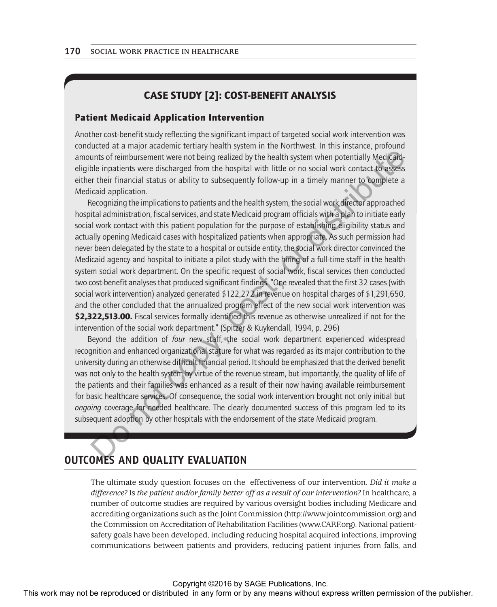# CASE STUDY [2]: COST-BENEFIT ANALYSIS

#### Patient Medicaid Application Intervention

Another cost-benefit study reflecting the significant impact of targeted social work intervention was conducted at a major academic tertiary health system in the Northwest. In this instance, profound amounts of reimbursement were not being realized by the health system when potentially Medicaideligible inpatients were discharged from the hospital with little or no social work contact to assess either their financial status or ability to subsequently follow-up in a timely manner to complete a Medicaid application.

Recognizing the implications to patients and the health system, the social work director approached hospital administration, fiscal services, and state Medicaid program officials with a plan to initiate early social work contact with this patient population for the purpose of establishing eligibility status and actually opening Medicaid cases with hospitalized patients when appropriate. As such permission had never been delegated by the state to a hospital or outside entity, the social work director convinced the Medicaid agency and hospital to initiate a pilot study with the hiring of a full-time staff in the health system social work department. On the specific request of social work, fiscal services then conducted two cost-benefit analyses that produced significant findings. "One revealed that the first 32 cases (with social work intervention) analyzed generated \$122,272 in revenue on hospital charges of \$1,291,650, and the other concluded that the annualized program effect of the new social work intervention was \$2,322,513.00. Fiscal services formally identified this revenue as otherwise unrealized if not for the intervention of the social work department." (Spitzer & Kuykendall, 1994, p. 296) arount of the restriction or the scheme or the interpret in any form be reproduced or distributed in any form or distributed in any form or distributed in any form or distributed in any form or distributed in any form or

Beyond the addition of *four* new staff, the social work department experienced widespread recognition and enhanced organizational stature for what was regarded as its major contribution to the university during an otherwise difficult financial period. It should be emphasized that the derived benefit was not only to the health system by virtue of the revenue stream, but importantly, the quality of life of the patients and their families was enhanced as a result of their now having available reimbursement for basic healthcare services. Of consequence, the social work intervention brought not only initial but *ongoing* coverage for needed healthcare. The clearly documented success of this program led to its subsequent adoption by other hospitals with the endorsement of the state Medicaid program.

# **OUTCOMES AND QUALITY EVALUATION**

The ultimate study question focuses on the effectiveness of our intervention. *Did it make a difference?* Is *the patient and/or family better off as a result of our intervention?* In healthcare, a number of outcome studies are required by various oversight bodies including Medicare and accrediting organizations such as the Joint Commission (http://www.jointcommission.org) and the Commission on Accreditation of Rehabilitation Facilities (www.CARF.org). National patientsafety goals have been developed, including reducing hospital acquired infections, improving communications between patients and providers, reducing patient injuries from falls, and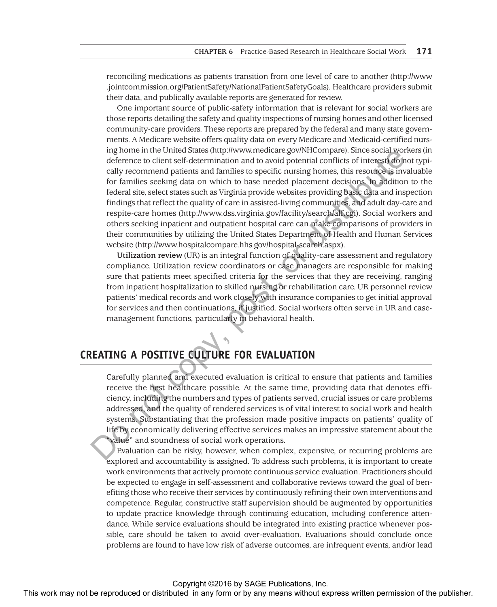reconciling medications as patients transition from one level of care to another [\(http://www](http://www
.jointcommission.org/PatientSafety/NationalPatientSafetyGoals) [.jointcommission.org/PatientSafety/NationalPatientSafetyGoals\)](http://www
.jointcommission.org/PatientSafety/NationalPatientSafetyGoals). Healthcare providers submit their data, and publically available reports are generated for review.

One important source of public-safety information that is relevant for social workers are those reports detailing the safety and quality inspections of nursing homes and other licensed community-care providers. These reports are prepared by the federal and many state governments. A Medicare website offers quality data on every Medicare and Medicaid-certified nursing home in the United States (http://www.medicare.gov/NHCompare). Since social workers (in deference to client self-determination and to avoid potential conflicts of interest) do not typically recommend patients and families to specific nursing homes, this resource is invaluable for families seeking data on which to base needed placement decisions. In addition to the federal site, select states such as Virginia provide websites providing basic data and inspection findings that reflect the quality of care in assisted-living communities, and adult day-care and respite-care homes (http://www.dss.virginia.gov/facility/search/alf.cgi). Social workers and others seeking inpatient and outpatient hospital care can make comparisons of providers in their communities by utilizing the United States Department of Health and Human Services website (http://www.hospitalcompare.hhs.gov/hospital-search.aspx).

**Utilization review** (UR) is an integral function of quality-care assessment and regulatory compliance. Utilization review coordinators or case managers are responsible for making sure that patients meet specified criteria for the services that they are receiving, ranging from inpatient hospitalization to skilled nursing or rehabilitation care. UR personnel review patients' medical records and work closely with insurance companies to get initial approval for services and then continuations, if justified. Social workers often serve in UR and casemanagement functions, particularly in behavioral health.

# **CREATING A POSITIVE CULTURE FOR EVALUATION**

Carefully planned and executed evaluation is critical to ensure that patients and families receive the best healthcare possible. At the same time, providing data that denotes efficiency, including the numbers and types of patients served, crucial issues or care problems addressed, and the quality of rendered services is of vital interest to social work and health systems. Substantiating that the profession made positive impacts on patients' quality of life by economically delivering effective services makes an impressive statement about the "value" and soundness of social work operations.

Evaluation can be risky, however, when complex, expensive, or recurring problems are explored and accountability is assigned. To address such problems, it is important to create work environments that actively promote continuous service evaluation. Practitioners should be expected to engage in self-assessment and collaborative reviews toward the goal of benefiting those who receive their services by continuously refining their own interventions and competence. Regular, constructive staff supervision should be augmented by opportunities to update practice knowledge through continuing education, including conference attendance. While service evaluations should be integrated into existing practice whenever possible, care should be taken to avoid over-evaluation. Evaluations should conclude once problems are found to have low risk of adverse outcomes, are infrequent events, and/or lead The motion or the continuous continuous continuous continuous continuous continuous continuous continuous continuous continuous continuous continuous continuous continuous continuous continuous continuous continuous conti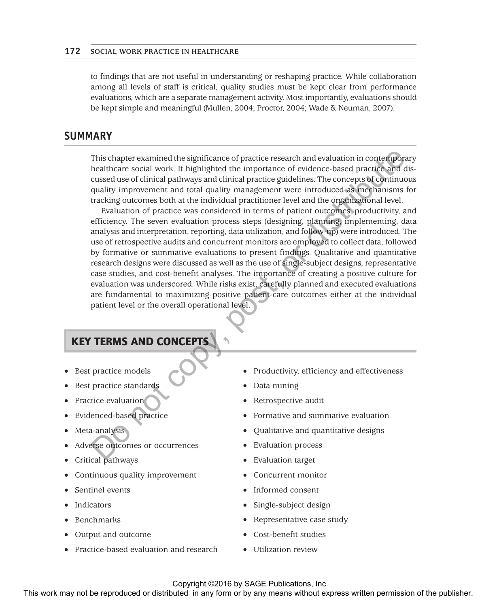to findings that are not useful in understanding or reshaping practice. While collaboration among all levels of staff is critical, quality studies must be kept clear from performance evaluations, which are a separate management activity. Most importantly, evaluations should be kept simple and meaningful (Mullen, 2004; Proctor, 2004; Wade & Neuman, 2007).

# **SUMMARY**

This chapter examined the significance of practice research and evaluation in contemporary healthcare social work. It highlighted the importance of evidence-based practice and discussed use of clinical pathways and clinical practice guidelines. The concepts of continuous quality improvement and total quality management were introduced as mechanisms for tracking outcomes both at the individual practitioner level and the organizational level.

Evaluation of practice was considered in terms of patient outcomes, productivity, and efficiency. The seven evaluation process steps (designing, planning, implementing, data analysis and interpretation, reporting, data utilization, and follow-up) were introduced. The use of retrospective audits and concurrent monitors are employed to collect data, followed by formative or summative evaluations to present findings. Qualitative and quantitative research designs were discussed as well as the use of single-subject designs, representative case studies, and cost-benefit analyses. The importance of creating a positive culture for evaluation was underscored. While risks exist, carefully planned and executed evaluations are fundamental to maximizing positive patient-care outcomes either at the individual patient level or the overall operational level. This work may not be reproduced or distributed or distributed in any form or by any means with the constrained in any constrained in any the publisher. The consequent of the publisher and the publisher and the publisher a

# KEY TERMS AND CONCEPTS

- Best practice models
- Best practice standards
- Practice evaluation
- Evidenced-based practice
- Meta-analysis
- Adverse outcomes or occurrences
- Critical pathways
- Continuous quality improvement
- Sentinel events
- **Indicators**
- **Benchmarks**
- Output and outcome
- Practice-based evaluation and research
- Productivity, efficiency and effectiveness
- Data mining
- Retrospective audit
- Formative and summative evaluation
- • Qualitative and quantitative designs
- **Evaluation process**
- Evaluation target
- Concurrent monitor
- Informed consent
- Single-subject design
- Representative case study
- Cost-benefit studies
- Utilization review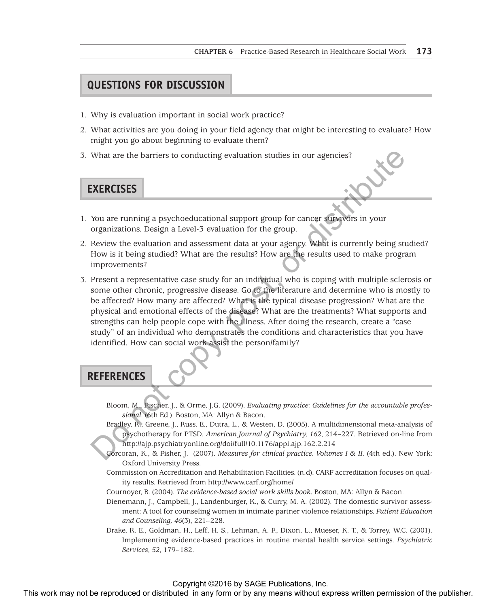# **QUESTIONS FOR DISCUSSION**

- 1. Why is evaluation important in social work practice?
- 2. What activities are you doing in your field agency that might be interesting to evaluate? How might you go about beginning to evaluate them?
- 3. What are the barriers to conducting evaluation studies in our agencies?

# **EXERCISES**

- 1. You are running a psychoeducational support group for cancer survivors in your organizations. Design a Level-3 evaluation for the group.
- 2. Review the evaluation and assessment data at your agency. What is currently being studied? How is it being studied? What are the results? How are the results used to make program improvements?
- 3. Present a representative case study for an individual who is coping with multiple sclerosis or some other chronic, progressive disease. Go to the literature and determine who is mostly to be affected? How many are affected? What is the typical disease progression? What are the physical and emotional effects of the disease? What are the treatments? What supports and strengths can help people cope with the illness. After doing the research, create a "case study" of an individual who demonstrates the conditions and characteristics that you have identified. How can social work assist the person/family? The strainer or conducting evaluation studies in our agencies?<br>
This work may not be reproduced to the reproduced or the publisher or by a system of the publisher of the publisher. The publisher of the publisher of the pu

### **REFERENCES**

Bloom, M., Fischer, J., & Orme, J.G. (2009). *Evaluating practice: Guidelines for the accountable professional.* (6th Ed.). Boston, MA: Allyn & Bacon.

- Bradley, R., Greene, J., Russ. E., Dutra, L., & Westen, D. (2005). A multidimensional meta-analysis of psychotherapy for PTSD. *American Journal of Psychiatry, 162*, 214–227. Retrieved on-line from http://ajp.psychiatryonline.org/doi/full/10.1176/appi.ajp.162.2.214
- Corcoran, K., & Fisher, J. (2007). *Measures for clinical practice. Volumes I & II.* (4th ed.). New York: Oxford University Press.
- Commission on Accreditation and Rehabilitation Facilities. (n.d). CARF accreditation focuses on quality results. Retrieved from http://www.carf.org/home/
- Cournoyer, B. (2004). *The evidence-based social work skills book*. Boston, MA: Allyn & Bacon.
- Dienemann, J., Campbell, J., Landenburger, K., & Curry, M. A. (2002). The domestic survivor assessment: A tool for counseling women in intimate partner violence relationships. *Patient Education and Counseling, 46*(3), 221–228.
- Drake, R. E., Goldman, H., Leff, H. S., Lehman, A. F., Dixon, L., Mueser, K. T., & Torrey, W.C. (2001). Implementing evidence-based practices in routine mental health service settings. *Psychiatric Services*, *52*, 179–182.